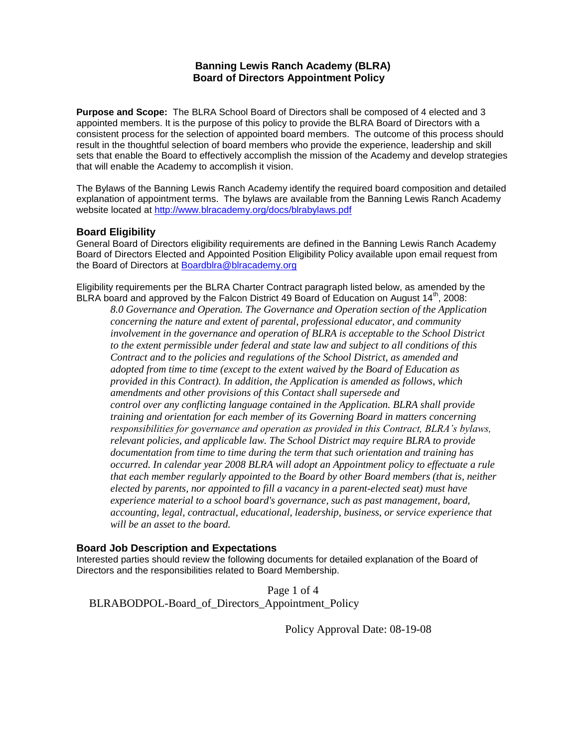### **Banning Lewis Ranch Academy (BLRA) Board of Directors Appointment Policy**

**Purpose and Scope:** The BLRA School Board of Directors shall be composed of 4 elected and 3 appointed members. It is the purpose of this policy to provide the BLRA Board of Directors with a consistent process for the selection of appointed board members. The outcome of this process should result in the thoughtful selection of board members who provide the experience, leadership and skill sets that enable the Board to effectively accomplish the mission of the Academy and develop strategies that will enable the Academy to accomplish it vision.

The Bylaws of the Banning Lewis Ranch Academy identify the required board composition and detailed explanation of appointment terms. The bylaws are available from the Banning Lewis Ranch Academy website located at<http://www.blracademy.org/docs/blrabylaws.pdf>

#### **Board Eligibility**

General Board of Directors eligibility requirements are defined in the Banning Lewis Ranch Academy Board of Directors Elected and Appointed Position Eligibility Policy available upon email request from the Board of Directors at [Boardblra@blracademy.org](mailto:Boardblra@blracademy.org)

Eligibility requirements per the BLRA Charter Contract paragraph listed below, as amended by the BLRA board and approved by the Falcon District 49 Board of Education on August  $14<sup>th</sup>$ , 2008:

*8.0 Governance and Operation. The Governance and Operation section of the Application concerning the nature and extent of parental, professional educator, and community involvement in the governance and operation of BLRA is acceptable to the School District to the extent permissible under federal and state law and subject to all conditions of this Contract and to the policies and regulations of the School District, as amended and adopted from time to time (except to the extent waived by the Board of Education as provided in this Contract). In addition, the Application is amended as follows, which amendments and other provisions of this Contact shall supersede and control over any conflicting language contained in the Application. BLRA shall provide training and orientation for each member of its Governing Board in matters concerning responsibilities for governance and operation as provided in this Contract, BLRA's bylaws, relevant policies, and applicable law. The School District may require BLRA to provide documentation from time to time during the term that such orientation and training has occurred. In calendar year 2008 BLRA will adopt an Appointment policy to effectuate a rule that each member regularly appointed to the Board by other Board members (that is, neither elected by parents, nor appointed to fill a vacancy in a parent-elected seat) must have experience material to a school board's governance, such as past management, board, accounting, legal, contractual, educational, leadership, business, or service experience that will be an asset to the board.*

#### **Board Job Description and Expectations**

Interested parties should review the following documents for detailed explanation of the Board of Directors and the responsibilities related to Board Membership.

Page 1 of 4 BLRABODPOL-Board of Directors Appointment Policy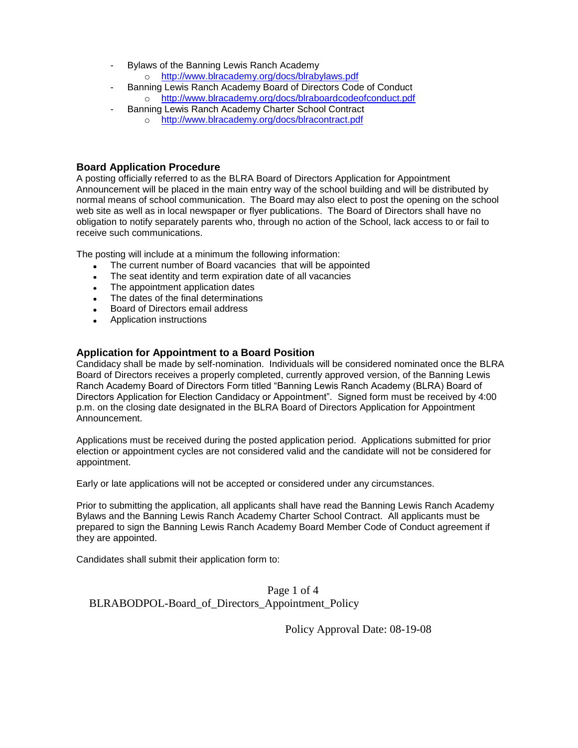- Bylaws of the Banning Lewis Ranch Academy o <http://www.blracademy.org/docs/blrabylaws.pdf>
- Banning Lewis Ranch Academy Board of Directors Code of Conduct o <http://www.blracademy.org/docs/blraboardcodeofconduct.pdf>
- Banning Lewis Ranch Academy Charter School Contract o <http://www.blracademy.org/docs/blracontract.pdf>

# **Board Application Procedure**

A posting officially referred to as the BLRA Board of Directors Application for Appointment Announcement will be placed in the main entry way of the school building and will be distributed by normal means of school communication. The Board may also elect to post the opening on the school web site as well as in local newspaper or flyer publications. The Board of Directors shall have no obligation to notify separately parents who, through no action of the School, lack access to or fail to receive such communications.

The posting will include at a minimum the following information:

- The current number of Board vacancies that will be appointed
- The seat identity and term expiration date of all vacancies
- The appointment application dates
- The dates of the final determinations
- Board of Directors email address
- Application instructions

#### **Application for Appointment to a Board Position**

Candidacy shall be made by self-nomination. Individuals will be considered nominated once the BLRA Board of Directors receives a properly completed, currently approved version, of the Banning Lewis Ranch Academy Board of Directors Form titled "Banning Lewis Ranch Academy (BLRA) Board of Directors Application for Election Candidacy or Appointment". Signed form must be received by 4:00 p.m. on the closing date designated in the BLRA Board of Directors Application for Appointment Announcement.

Applications must be received during the posted application period. Applications submitted for prior election or appointment cycles are not considered valid and the candidate will not be considered for appointment.

Early or late applications will not be accepted or considered under any circumstances.

Prior to submitting the application, all applicants shall have read the Banning Lewis Ranch Academy Bylaws and the Banning Lewis Ranch Academy Charter School Contract. All applicants must be prepared to sign the Banning Lewis Ranch Academy Board Member Code of Conduct agreement if they are appointed.

Candidates shall submit their application form to:

Page 1 of 4 BLRABODPOL-Board of Directors Appointment Policy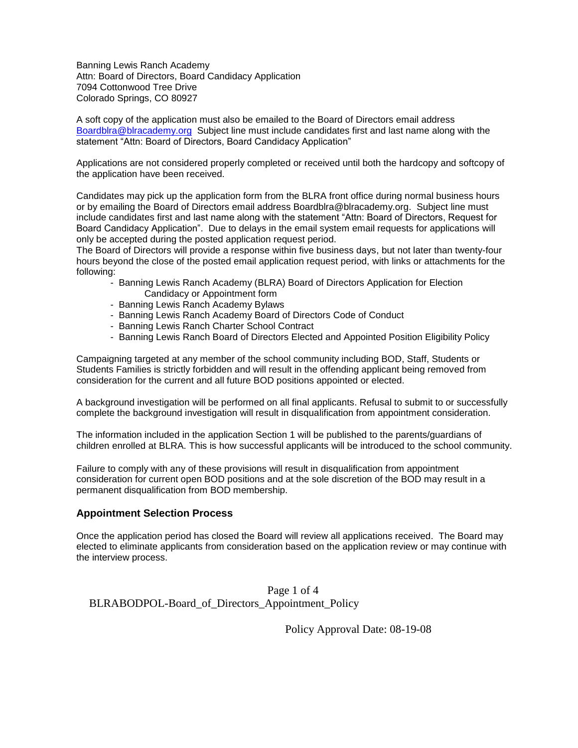Banning Lewis Ranch Academy Attn: Board of Directors, Board Candidacy Application 7094 Cottonwood Tree Drive Colorado Springs, CO 80927

A soft copy of the application must also be emailed to the Board of Directors email address <Boardblra@blracademy.org>Subject line must include candidates first and last name along with the statement "Attn: Board of Directors, Board Candidacy Application"

Applications are not considered properly completed or received until both the hardcopy and softcopy of the application have been received.

Candidates may pick up the application form from the BLRA front office during normal business hours or by emailing the Board of Directors email address Boardblra@blracademy.org. Subject line must include candidates first and last name along with the statement "Attn: Board of Directors, Request for Board Candidacy Application". Due to delays in the email system email requests for applications will only be accepted during the posted application request period.

The Board of Directors will provide a response within five business days, but not later than twenty-four hours beyond the close of the posted email application request period, with links or attachments for the following:

- Banning Lewis Ranch Academy (BLRA) Board of Directors Application for Election Candidacy or Appointment form
- Banning Lewis Ranch Academy Bylaws
- Banning Lewis Ranch Academy Board of Directors Code of Conduct
- Banning Lewis Ranch Charter School Contract
- Banning Lewis Ranch Board of Directors Elected and Appointed Position Eligibility Policy

Campaigning targeted at any member of the school community including BOD, Staff, Students or Students Families is strictly forbidden and will result in the offending applicant being removed from consideration for the current and all future BOD positions appointed or elected.

A background investigation will be performed on all final applicants. Refusal to submit to or successfully complete the background investigation will result in disqualification from appointment consideration.

The information included in the application Section 1 will be published to the parents/guardians of children enrolled at BLRA. This is how successful applicants will be introduced to the school community.

Failure to comply with any of these provisions will result in disqualification from appointment consideration for current open BOD positions and at the sole discretion of the BOD may result in a permanent disqualification from BOD membership.

#### **Appointment Selection Process**

Once the application period has closed the Board will review all applications received. The Board may elected to eliminate applicants from consideration based on the application review or may continue with the interview process.

Page 1 of 4 BLRABODPOL-Board of Directors Appointment Policy